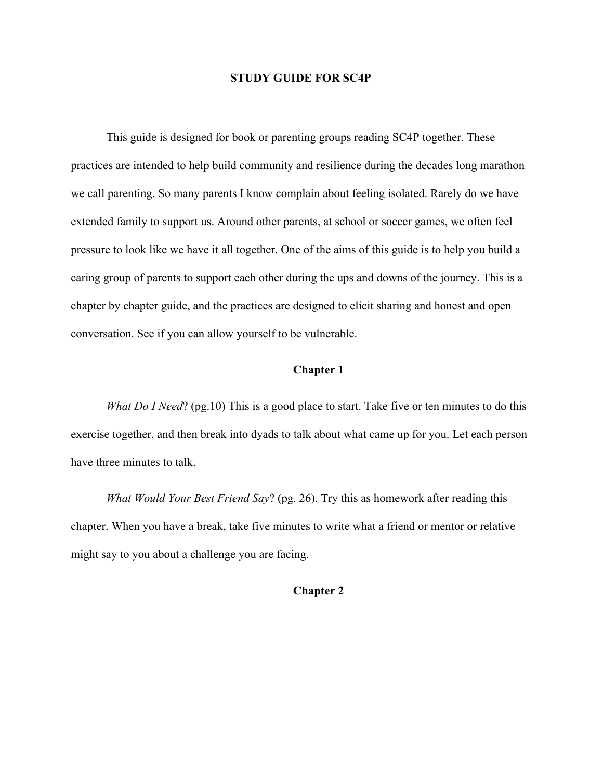#### **STUDY GUIDE FOR SC4P**

This guide is designed for book or parenting groups reading SC4P together. These practices are intended to help build community and resilience during the decades long marathon we call parenting. So many parents I know complain about feeling isolated. Rarely do we have extended family to support us. Around other parents, at school or soccer games, we often feel pressure to look like we have it all together. One of the aims of this guide is to help you build a caring group of parents to support each other during the ups and downs of the journey. This is a chapter by chapter guide, and the practices are designed to elicit sharing and honest and open conversation. See if you can allow yourself to be vulnerable.

### **Chapter 1**

*What Do I Need*? (pg.10) This is a good place to start. Take five or ten minutes to do this exercise together, and then break into dyads to talk about what came up for you. Let each person have three minutes to talk.

*What Would Your Best Friend Say*? (pg. 26). Try this as homework after reading this chapter. When you have a break, take five minutes to write what a friend or mentor or relative might say to you about a challenge you are facing.

## **Chapter 2**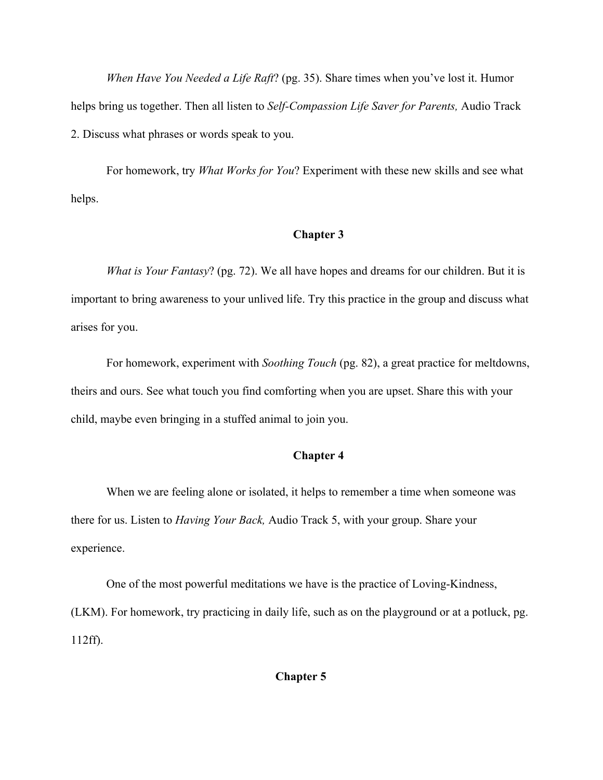*When Have You Needed a Life Raft*? (pg. 35). Share times when you've lost it. Humor helps bring us together. Then all listen to *Self-Compassion Life Saver for Parents,* Audio Track 2. Discuss what phrases or words speak to you.

For homework, try *What Works for You*? Experiment with these new skills and see what helps.

# **Chapter 3**

*What is Your Fantasy*? (pg. 72). We all have hopes and dreams for our children. But it is important to bring awareness to your unlived life. Try this practice in the group and discuss what arises for you.

For homework, experiment with *Soothing Touch* (pg. 82), a great practice for meltdowns, theirs and ours. See what touch you find comforting when you are upset. Share this with your child, maybe even bringing in a stuffed animal to join you.

## **Chapter 4**

When we are feeling alone or isolated, it helps to remember a time when someone was there for us. Listen to *Having Your Back,* Audio Track 5, with your group. Share your experience.

One of the most powerful meditations we have is the practice of Loving-Kindness, (LKM). For homework, try practicing in daily life, such as on the playground or at a potluck, pg. 112ff).

### **Chapter 5**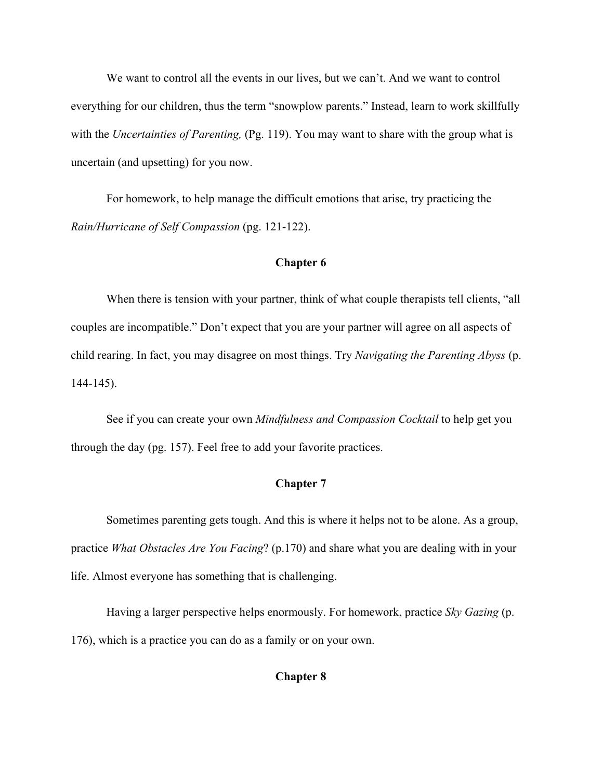We want to control all the events in our lives, but we can't. And we want to control everything for our children, thus the term "snowplow parents." Instead, learn to work skillfully with the *Uncertainties of Parenting*, (Pg. 119). You may want to share with the group what is uncertain (and upsetting) for you now.

For homework, to help manage the difficult emotions that arise, try practicing the *Rain/Hurricane of Self Compassion* (pg. 121-122).

### **Chapter 6**

When there is tension with your partner, think of what couple therapists tell clients, "all couples are incompatible." Don't expect that you are your partner will agree on all aspects of child rearing. In fact, you may disagree on most things. Try *Navigating the Parenting Abyss* (p. 144-145).

See if you can create your own *Mindfulness and Compassion Cocktail* to help get you through the day (pg. 157). Feel free to add your favorite practices.

# **Chapter 7**

Sometimes parenting gets tough. And this is where it helps not to be alone. As a group, practice *What Obstacles Are You Facing*? (p.170) and share what you are dealing with in your life. Almost everyone has something that is challenging.

Having a larger perspective helps enormously. For homework, practice *Sky Gazing* (p. 176), which is a practice you can do as a family or on your own.

### **Chapter 8**